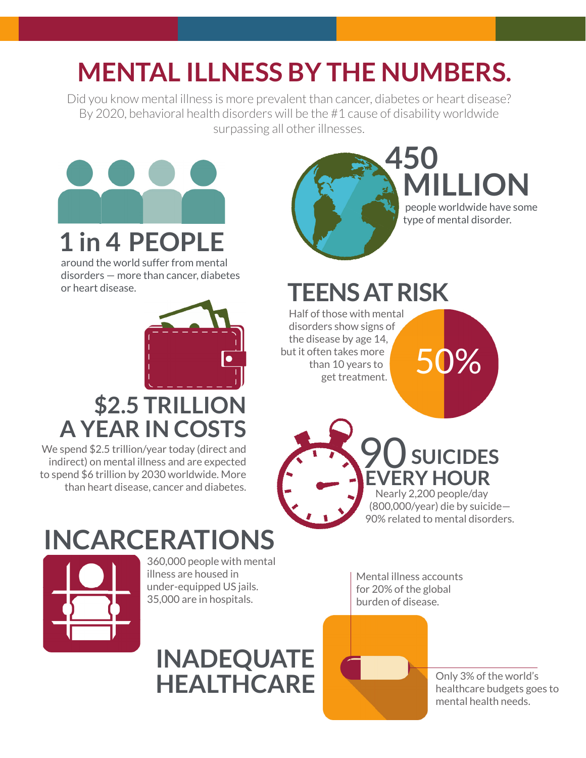# **MENTAL ILLNESS BY THE NUMBERS.**

Did you know mental illness is more prevalent than cancer, diabetes or heart disease? By 2020, behavioral health disorders will be the #1 cause of disability worldwide surpassing all other illnesses.



around the world suffer from mental disorders — more than cancer, diabetes or heart disease.



### **\$2.5 TRILLION A YEAR IN COSTS**

We spend \$2.5 trillion/year today (direct and indirect) on mental illness and are expected to spend \$6 trillion by 2030 worldwide. More than heart disease, cancer and diabetes.



**450 MILLION**

 people worldwide have some type of mental disorder.

 **TEENS AT RISK**

 Half of those with mental disorders show signs of the disease by age 14, but it often takes more than 10 years to en takes more<br>an 10 years to **50%** 



## **INCARCERATIONS**



360,000 people with mental illness are housed in under-equipped US jails. 35,000 are in hospitals.

Mental illness accounts for 20% of the global burden of disease.



Only 3% of the world's healthcare budgets goes to mental health needs.